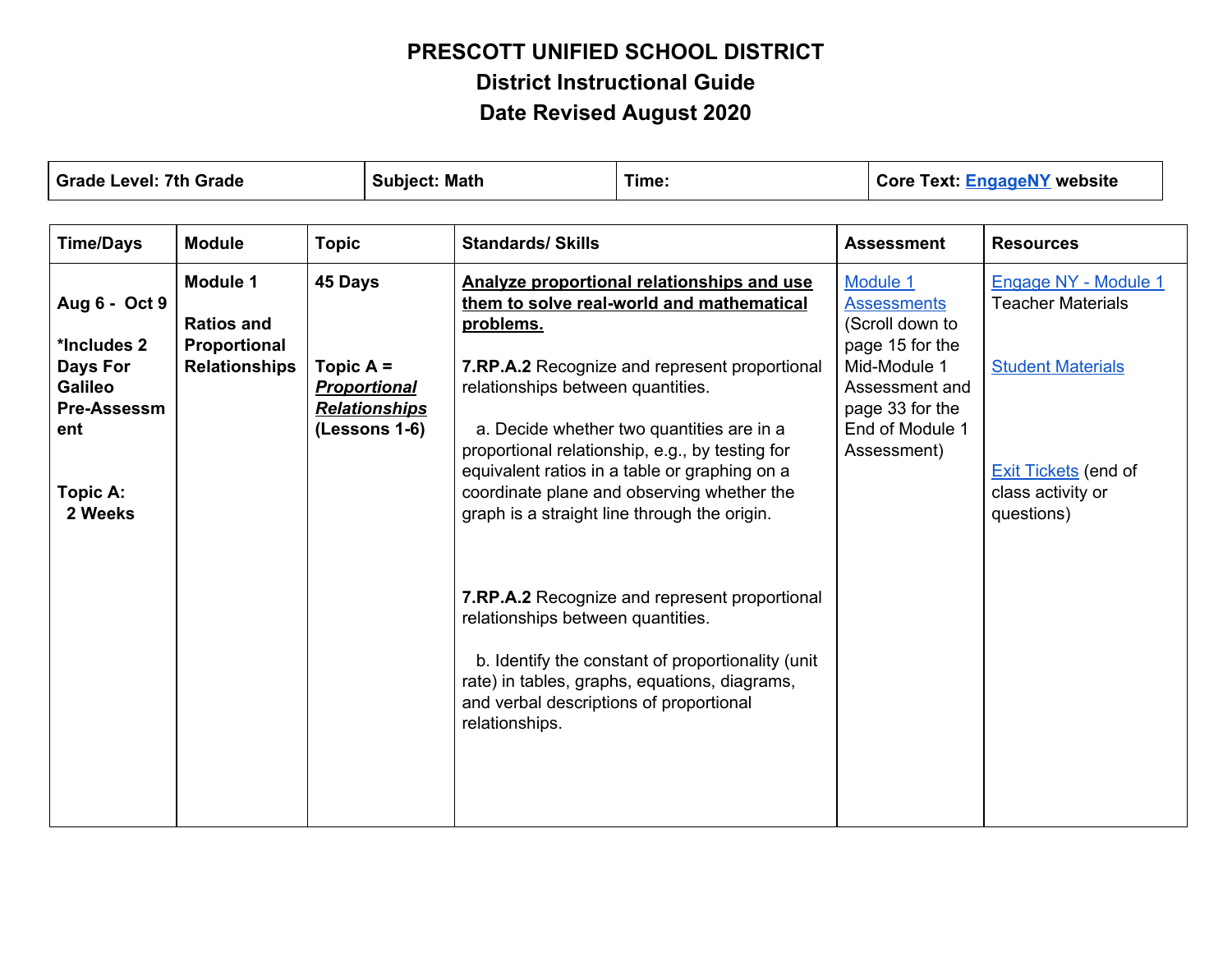| <b>Grade Level: 7th Grade</b>                                                                                  |                                                                       | <b>Subject: Math</b>   | Time:                                                        |                                                                                     | <b>Core Text: EngageNY website</b>                                                                                                                                                                                                                                                                                                                                                                                                                                                                                                             |  |                                                                                                                                                             |                                                                                                                                                |
|----------------------------------------------------------------------------------------------------------------|-----------------------------------------------------------------------|------------------------|--------------------------------------------------------------|-------------------------------------------------------------------------------------|------------------------------------------------------------------------------------------------------------------------------------------------------------------------------------------------------------------------------------------------------------------------------------------------------------------------------------------------------------------------------------------------------------------------------------------------------------------------------------------------------------------------------------------------|--|-------------------------------------------------------------------------------------------------------------------------------------------------------------|------------------------------------------------------------------------------------------------------------------------------------------------|
| <b>Time/Days</b>                                                                                               | <b>Module</b>                                                         | <b>Topic</b>           |                                                              | <b>Standards/ Skills</b>                                                            |                                                                                                                                                                                                                                                                                                                                                                                                                                                                                                                                                |  | <b>Assessment</b>                                                                                                                                           | <b>Resources</b>                                                                                                                               |
| Aug 6 - Oct 9<br>*Includes 2<br><b>Days For</b><br><b>Galileo</b><br>Pre-Assessm<br>ent<br>Topic A:<br>2 Weeks | Module 1<br><b>Ratios and</b><br>Proportional<br><b>Relationships</b> | 45 Days<br>Topic $A =$ | <b>Proportional</b><br><b>Relationships</b><br>(Lessons 1-6) | problems.<br>relationships between quantities.<br>relationships between quantities. | Analyze proportional relationships and use<br>them to solve real-world and mathematical<br>7.RP.A.2 Recognize and represent proportional<br>a. Decide whether two quantities are in a<br>proportional relationship, e.g., by testing for<br>equivalent ratios in a table or graphing on a<br>coordinate plane and observing whether the<br>graph is a straight line through the origin.<br>7.RP.A.2 Recognize and represent proportional<br>b. Identify the constant of proportionality (unit<br>rate) in tables, graphs, equations, diagrams, |  | Module 1<br><b>Assessments</b><br>(Scroll down to<br>page 15 for the<br>Mid-Module 1<br>Assessment and<br>page 33 for the<br>End of Module 1<br>Assessment) | Engage NY - Module 1<br><b>Teacher Materials</b><br><b>Student Materials</b><br><b>Exit Tickets</b> (end of<br>class activity or<br>questions) |
|                                                                                                                |                                                                       |                        |                                                              | and verbal descriptions of proportional<br>relationships.                           |                                                                                                                                                                                                                                                                                                                                                                                                                                                                                                                                                |  |                                                                                                                                                             |                                                                                                                                                |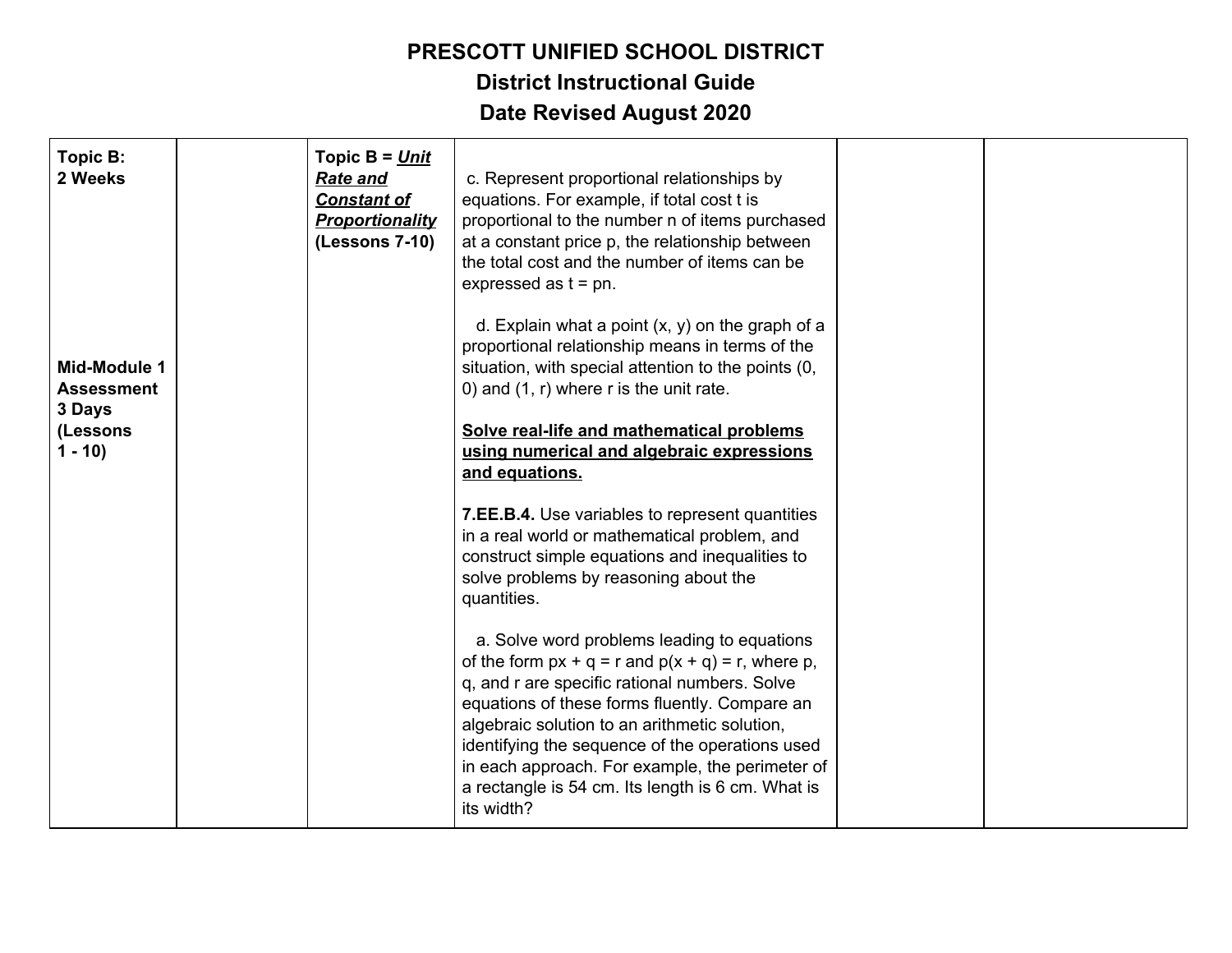| Topic B:<br>2 Weeks<br>Mid-Module 1<br><b>Assessment</b><br>3 Days<br>(Lessons<br>$1 - 10$ | Topic $B = Unit$<br><b>Rate and</b><br><b>Constant of</b><br><b>Proportionality</b><br>(Lessons 7-10) | c. Represent proportional relationships by<br>equations. For example, if total cost t is<br>proportional to the number n of items purchased<br>at a constant price p, the relationship between<br>the total cost and the number of items can be<br>expressed as $t = pn$ .<br>d. Explain what a point $(x, y)$ on the graph of a<br>proportional relationship means in terms of the<br>situation, with special attention to the points (0,<br>0) and $(1, r)$ where r is the unit rate.<br>Solve real-life and mathematical problems<br>using numerical and algebraic expressions<br>and equations.                                            |  |
|--------------------------------------------------------------------------------------------|-------------------------------------------------------------------------------------------------------|------------------------------------------------------------------------------------------------------------------------------------------------------------------------------------------------------------------------------------------------------------------------------------------------------------------------------------------------------------------------------------------------------------------------------------------------------------------------------------------------------------------------------------------------------------------------------------------------------------------------------------------------|--|
|                                                                                            |                                                                                                       | 7.EE.B.4. Use variables to represent quantities<br>in a real world or mathematical problem, and<br>construct simple equations and inequalities to<br>solve problems by reasoning about the<br>quantities.<br>a. Solve word problems leading to equations<br>of the form $px + q = r$ and $p(x + q) = r$ , where p,<br>q, and r are specific rational numbers. Solve<br>equations of these forms fluently. Compare an<br>algebraic solution to an arithmetic solution,<br>identifying the sequence of the operations used<br>in each approach. For example, the perimeter of<br>a rectangle is 54 cm. Its length is 6 cm. What is<br>its width? |  |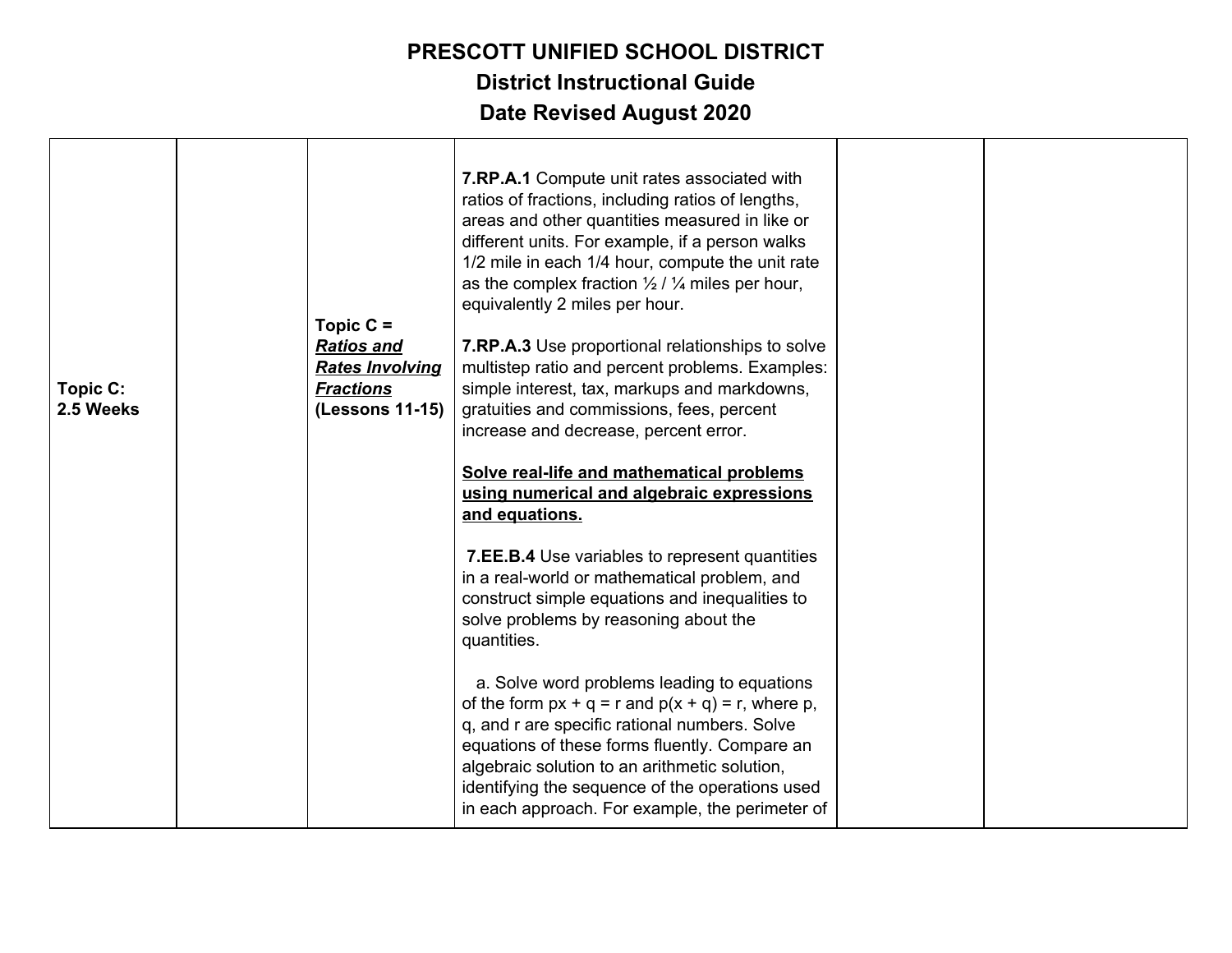| Topic C:<br>2.5 Weeks | Topic $C =$<br><b>Ratios and</b><br><b>Rates Involving</b><br><b>Fractions</b><br>(Lessons 11-15) | 7.RP.A.1 Compute unit rates associated with<br>ratios of fractions, including ratios of lengths,<br>areas and other quantities measured in like or<br>different units. For example, if a person walks<br>1/2 mile in each 1/4 hour, compute the unit rate<br>as the complex fraction $\frac{1}{2}$ / $\frac{1}{4}$ miles per hour,<br>equivalently 2 miles per hour.<br>7.RP.A.3 Use proportional relationships to solve<br>multistep ratio and percent problems. Examples:<br>simple interest, tax, markups and markdowns,<br>gratuities and commissions, fees, percent<br>increase and decrease, percent error.<br>Solve real-life and mathematical problems<br>using numerical and algebraic expressions<br>and equations.<br>7.EE.B.4 Use variables to represent quantities<br>in a real-world or mathematical problem, and<br>construct simple equations and inequalities to<br>solve problems by reasoning about the<br>quantities.<br>a. Solve word problems leading to equations<br>of the form $px + q = r$ and $p(x + q) = r$ , where p,<br>q, and r are specific rational numbers. Solve<br>equations of these forms fluently. Compare an |  |
|-----------------------|---------------------------------------------------------------------------------------------------|------------------------------------------------------------------------------------------------------------------------------------------------------------------------------------------------------------------------------------------------------------------------------------------------------------------------------------------------------------------------------------------------------------------------------------------------------------------------------------------------------------------------------------------------------------------------------------------------------------------------------------------------------------------------------------------------------------------------------------------------------------------------------------------------------------------------------------------------------------------------------------------------------------------------------------------------------------------------------------------------------------------------------------------------------------------------------------------------------------------------------------------------------|--|
|                       |                                                                                                   | algebraic solution to an arithmetic solution,<br>identifying the sequence of the operations used<br>in each approach. For example, the perimeter of                                                                                                                                                                                                                                                                                                                                                                                                                                                                                                                                                                                                                                                                                                                                                                                                                                                                                                                                                                                                  |  |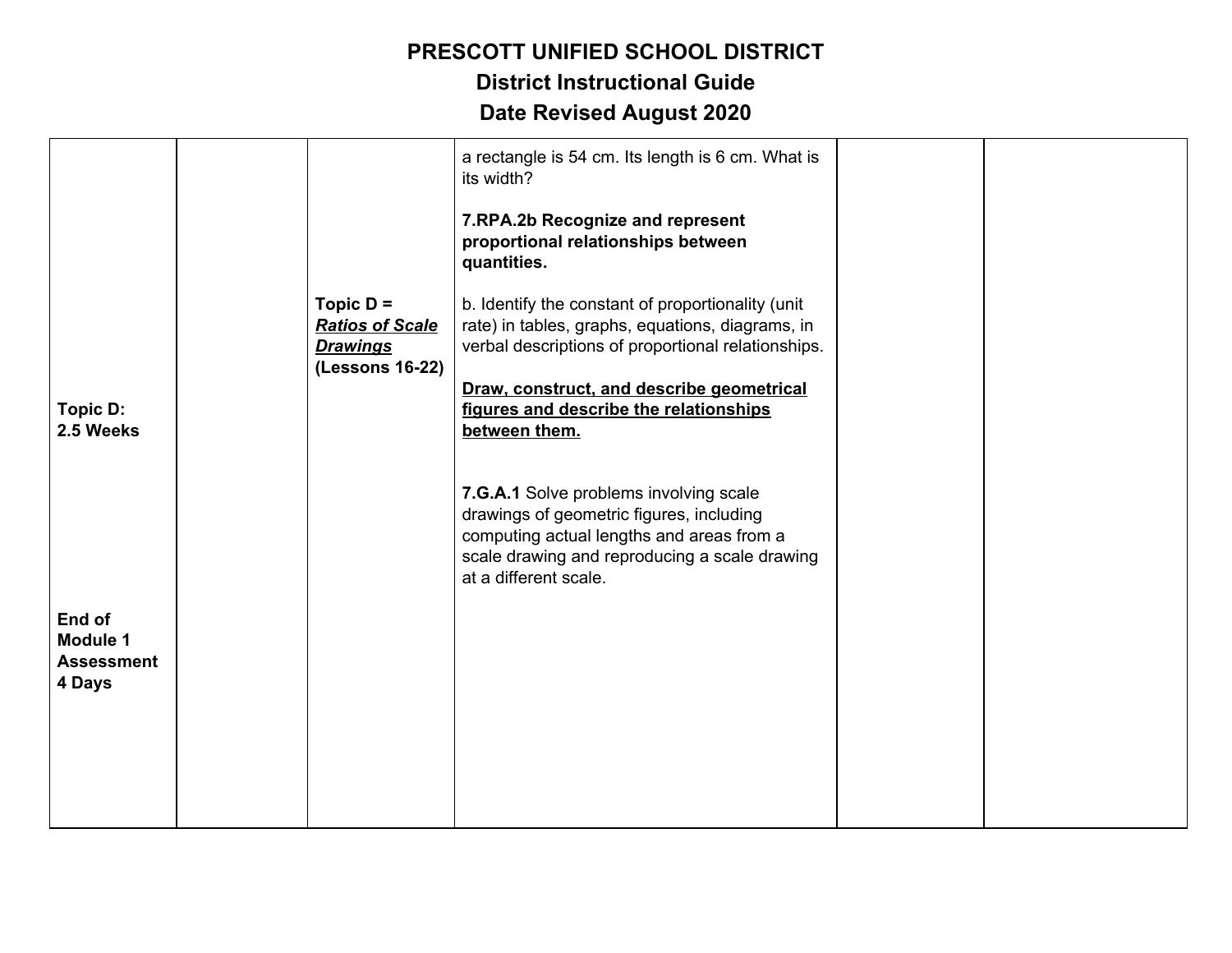#### **PRESCOTT UNIFIED SCHOOL DISTRICT District Instructional Guide**

| Topic D:<br>2.5 Weeks                                    | Topic $D =$<br><b>Ratios of Scale</b><br><b>Drawings</b><br>(Lessons 16-22) | a rectangle is 54 cm. Its length is 6 cm. What is<br>its width?<br>7.RPA.2b Recognize and represent<br>proportional relationships between<br>quantities.<br>b. Identify the constant of proportionality (unit<br>rate) in tables, graphs, equations, diagrams, in<br>verbal descriptions of proportional relationships.<br>Draw, construct, and describe geometrical<br>figures and describe the relationships<br>between them. |  |
|----------------------------------------------------------|-----------------------------------------------------------------------------|---------------------------------------------------------------------------------------------------------------------------------------------------------------------------------------------------------------------------------------------------------------------------------------------------------------------------------------------------------------------------------------------------------------------------------|--|
| End of<br><b>Module 1</b><br><b>Assessment</b><br>4 Days |                                                                             | 7.G.A.1 Solve problems involving scale<br>drawings of geometric figures, including<br>computing actual lengths and areas from a<br>scale drawing and reproducing a scale drawing<br>at a different scale.                                                                                                                                                                                                                       |  |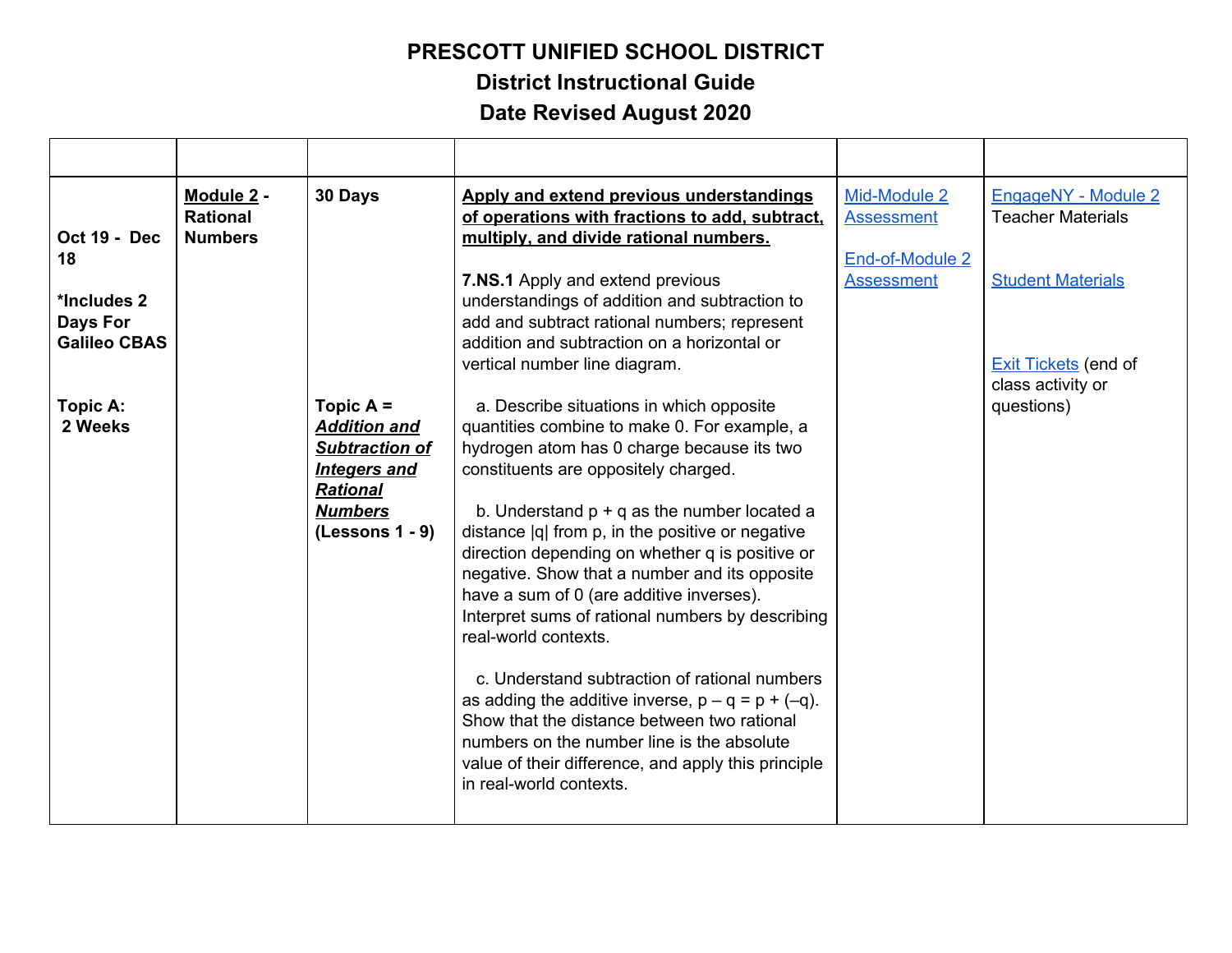**District Instructional Guide**

| Oct 19 - Dec<br>18                             | Module 2 -<br><b>Rational</b><br><b>Numbers</b> | 30 Days                                                                                                                               | Apply and extend previous understandings<br>of operations with fractions to add, subtract,<br>multiply, and divide rational numbers.                                                                                                                                                                                                                                                                                                                                                                                                                                                                                                                                                                                                                                                                    | Mid-Module 2<br><b>Assessment</b><br>End-of-Module 2 | EngageNY - Module 2<br><b>Teacher Materials</b>         |
|------------------------------------------------|-------------------------------------------------|---------------------------------------------------------------------------------------------------------------------------------------|---------------------------------------------------------------------------------------------------------------------------------------------------------------------------------------------------------------------------------------------------------------------------------------------------------------------------------------------------------------------------------------------------------------------------------------------------------------------------------------------------------------------------------------------------------------------------------------------------------------------------------------------------------------------------------------------------------------------------------------------------------------------------------------------------------|------------------------------------------------------|---------------------------------------------------------|
| *Includes 2<br>Days For<br><b>Galileo CBAS</b> |                                                 |                                                                                                                                       | 7.NS.1 Apply and extend previous<br>understandings of addition and subtraction to<br>add and subtract rational numbers; represent<br>addition and subtraction on a horizontal or<br>vertical number line diagram.                                                                                                                                                                                                                                                                                                                                                                                                                                                                                                                                                                                       | <b>Assessment</b>                                    | <b>Student Materials</b><br><b>Exit Tickets (end of</b> |
| Topic A:<br>2 Weeks                            |                                                 | Topic $A =$<br><b>Addition and</b><br><b>Subtraction of</b><br>Integers and<br><b>Rational</b><br><b>Numbers</b><br>$(Lessons 1 - 9)$ | a. Describe situations in which opposite<br>quantities combine to make 0. For example, a<br>hydrogen atom has 0 charge because its two<br>constituents are oppositely charged.<br>b. Understand $p + q$ as the number located a<br>distance  q  from p, in the positive or negative<br>direction depending on whether q is positive or<br>negative. Show that a number and its opposite<br>have a sum of 0 (are additive inverses).<br>Interpret sums of rational numbers by describing<br>real-world contexts.<br>c. Understand subtraction of rational numbers<br>as adding the additive inverse, $p - q = p + (-q)$ .<br>Show that the distance between two rational<br>numbers on the number line is the absolute<br>value of their difference, and apply this principle<br>in real-world contexts. |                                                      | class activity or<br>questions)                         |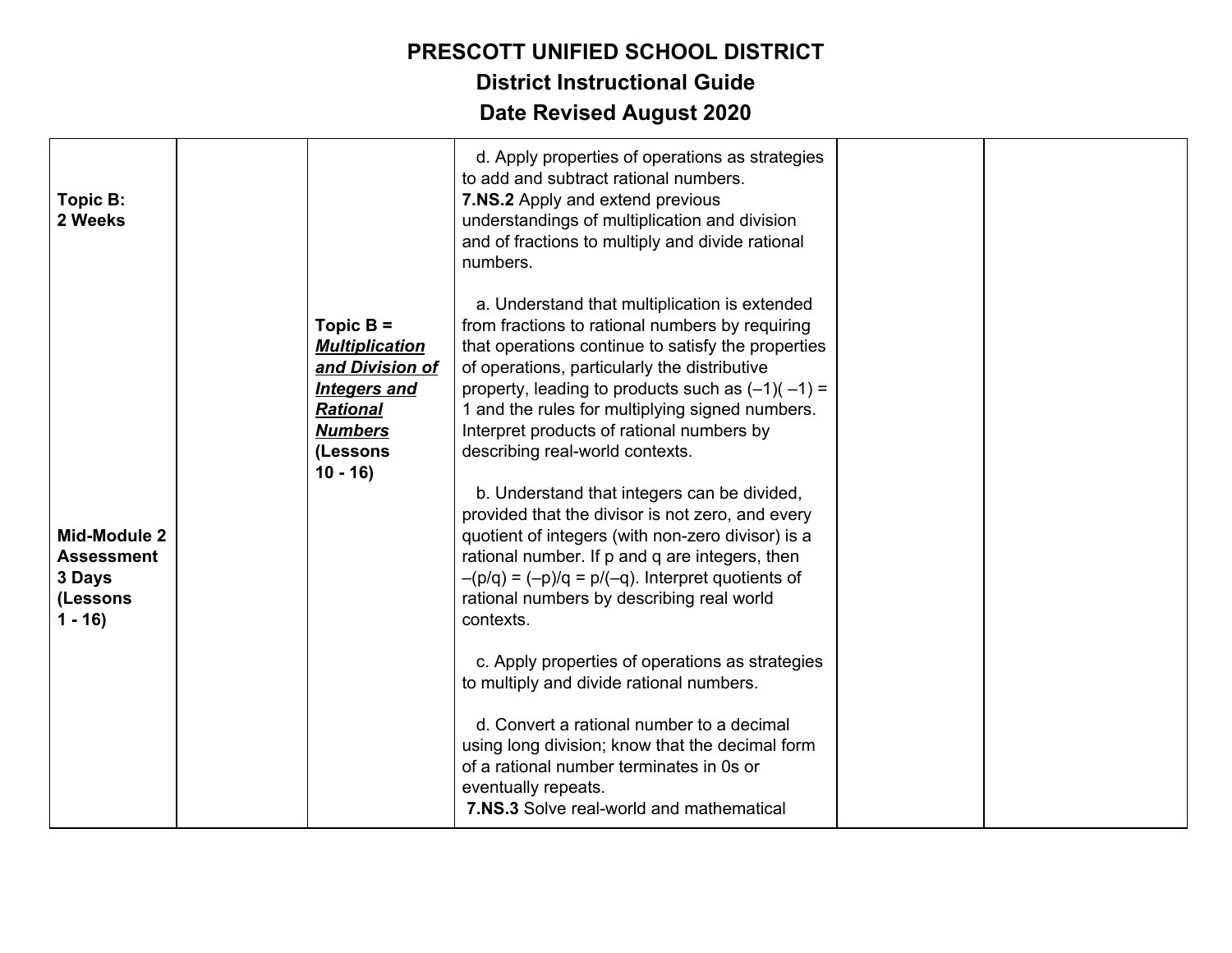| Topic B:<br>2 Weeks                                                        |           |                                                                                                                                 | d. Apply properties of operations as strategies<br>to add and subtract rational numbers.<br>7.NS.2 Apply and extend previous<br>understandings of multiplication and division<br>and of fractions to multiply and divide rational<br>numbers.                                                                                                                                                                                                                                                                                                                                                                                                                                                                                                                                                                                                                                                                                                                                                                                            |  |
|----------------------------------------------------------------------------|-----------|---------------------------------------------------------------------------------------------------------------------------------|------------------------------------------------------------------------------------------------------------------------------------------------------------------------------------------------------------------------------------------------------------------------------------------------------------------------------------------------------------------------------------------------------------------------------------------------------------------------------------------------------------------------------------------------------------------------------------------------------------------------------------------------------------------------------------------------------------------------------------------------------------------------------------------------------------------------------------------------------------------------------------------------------------------------------------------------------------------------------------------------------------------------------------------|--|
| <b>Mid-Module 2</b><br><b>Assessment</b><br>3 Days<br>(Lessons<br>$1 - 16$ | $10 - 16$ | Topic $B =$<br><b>Multiplication</b><br>and Division of<br><b>Integers and</b><br><b>Rational</b><br><b>Numbers</b><br>(Lessons | a. Understand that multiplication is extended<br>from fractions to rational numbers by requiring<br>that operations continue to satisfy the properties<br>of operations, particularly the distributive<br>property, leading to products such as $(-1)(-1) =$<br>1 and the rules for multiplying signed numbers.<br>Interpret products of rational numbers by<br>describing real-world contexts.<br>b. Understand that integers can be divided,<br>provided that the divisor is not zero, and every<br>quotient of integers (with non-zero divisor) is a<br>rational number. If p and q are integers, then<br>$-(p/q) = (-p)/q = p/(-q)$ . Interpret quotients of<br>rational numbers by describing real world<br>contexts.<br>c. Apply properties of operations as strategies<br>to multiply and divide rational numbers.<br>d. Convert a rational number to a decimal<br>using long division; know that the decimal form<br>of a rational number terminates in 0s or<br>eventually repeats.<br>7.NS.3 Solve real-world and mathematical |  |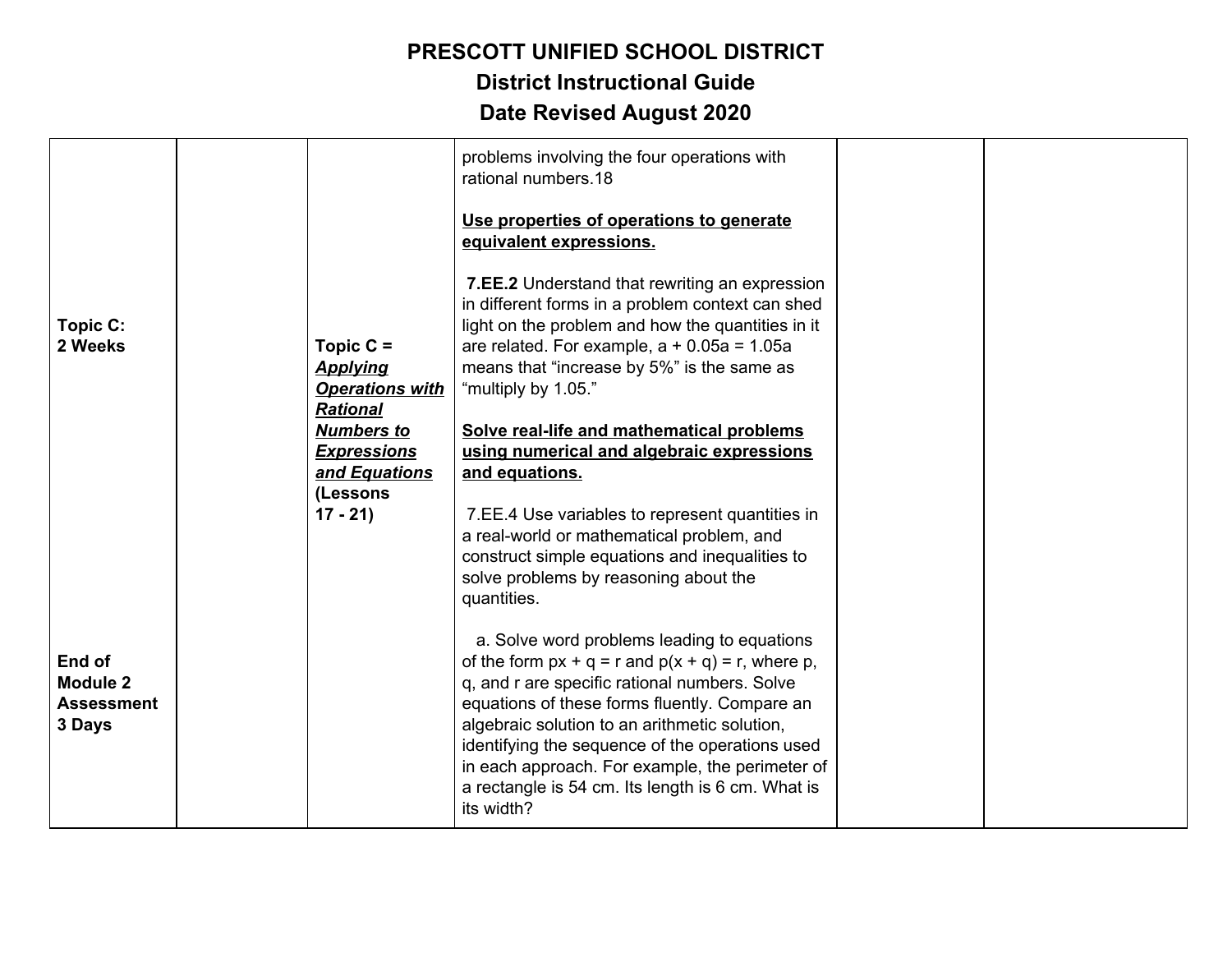## **PRESCOTT UNIFIED SCHOOL DISTRICT District Instructional Guide**

| Topic C:<br>2 Weeks                               | Topic $C =$<br><b>Applying</b><br><b>Operations with</b><br><b>Rational</b><br><b>Numbers to</b><br><b>Expressions</b><br>and Equations<br>(Lessons | problems involving the four operations with<br>rational numbers.18<br>Use properties of operations to generate<br>equivalent expressions.<br>7.EE.2 Understand that rewriting an expression<br>in different forms in a problem context can shed<br>light on the problem and how the quantities in it<br>are related. For example, $a + 0.05a = 1.05a$<br>means that "increase by 5%" is the same as<br>"multiply by 1.05."<br>Solve real-life and mathematical problems<br>using numerical and algebraic expressions<br>and equations.                                                                                                      |  |
|---------------------------------------------------|-----------------------------------------------------------------------------------------------------------------------------------------------------|---------------------------------------------------------------------------------------------------------------------------------------------------------------------------------------------------------------------------------------------------------------------------------------------------------------------------------------------------------------------------------------------------------------------------------------------------------------------------------------------------------------------------------------------------------------------------------------------------------------------------------------------|--|
| End of<br>Module 2<br><b>Assessment</b><br>3 Days | $17 - 21$                                                                                                                                           | 7.EE.4 Use variables to represent quantities in<br>a real-world or mathematical problem, and<br>construct simple equations and inequalities to<br>solve problems by reasoning about the<br>quantities.<br>a. Solve word problems leading to equations<br>of the form $px + q = r$ and $p(x + q) = r$ , where p,<br>q, and r are specific rational numbers. Solve<br>equations of these forms fluently. Compare an<br>algebraic solution to an arithmetic solution,<br>identifying the sequence of the operations used<br>in each approach. For example, the perimeter of<br>a rectangle is 54 cm. Its length is 6 cm. What is<br>its width? |  |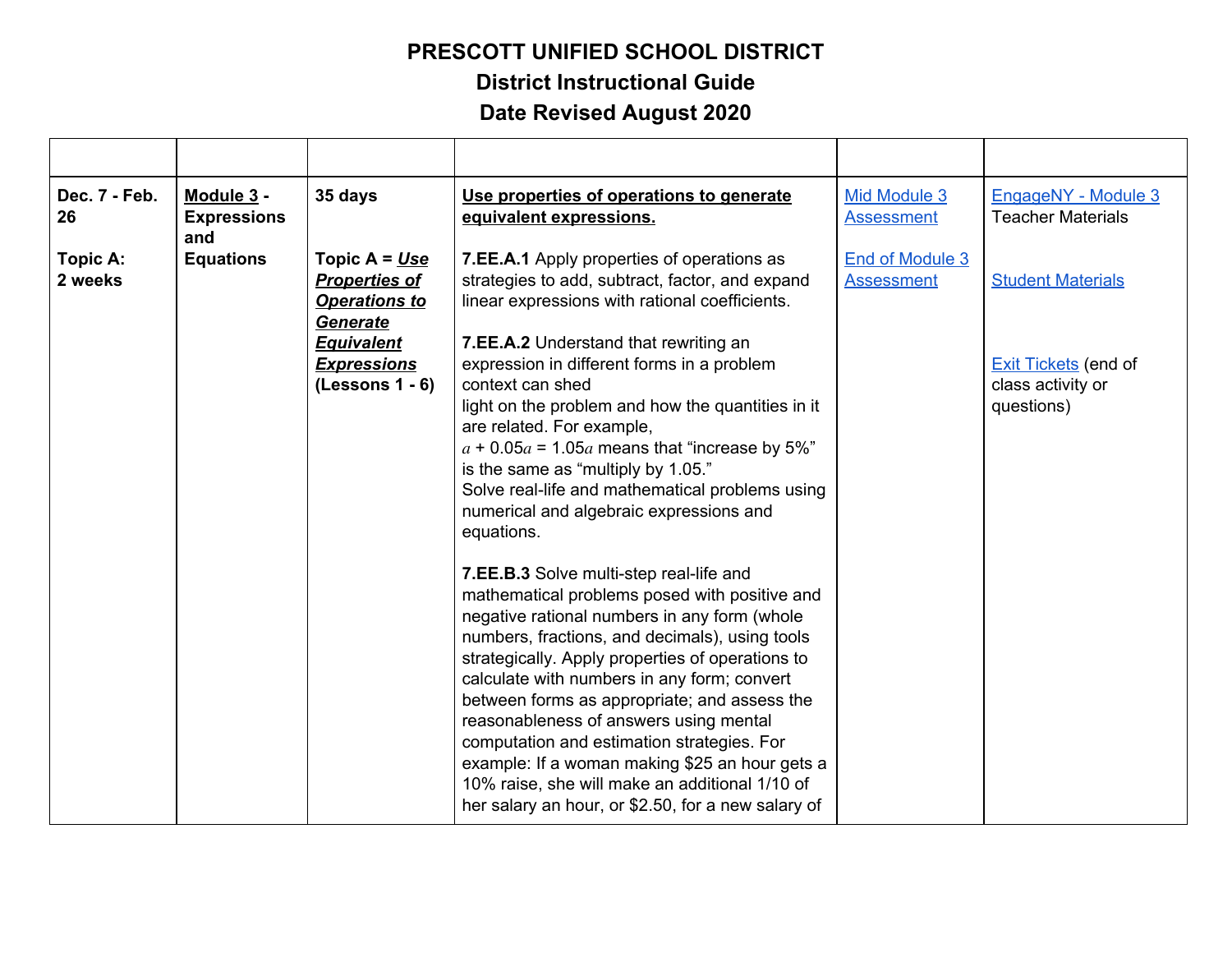**District Instructional Guide**

| Dec. 7 - Feb.<br>26 | Module 3 -<br><b>Expressions</b><br>and | 35 days                                                                                                                                            | Use properties of operations to generate<br>equivalent expressions.                                                                                                                                                                                                                                                                                                                                                                                                                                                                                                                                                                                                                                                                                                                                                                                                                                                                                                                                                                                                                                                                                  | Mid Module 3<br><b>Assessment</b>    | EngageNY - Module 3<br><b>Teacher Materials</b>                                            |
|---------------------|-----------------------------------------|----------------------------------------------------------------------------------------------------------------------------------------------------|------------------------------------------------------------------------------------------------------------------------------------------------------------------------------------------------------------------------------------------------------------------------------------------------------------------------------------------------------------------------------------------------------------------------------------------------------------------------------------------------------------------------------------------------------------------------------------------------------------------------------------------------------------------------------------------------------------------------------------------------------------------------------------------------------------------------------------------------------------------------------------------------------------------------------------------------------------------------------------------------------------------------------------------------------------------------------------------------------------------------------------------------------|--------------------------------------|--------------------------------------------------------------------------------------------|
| Topic A:<br>2 weeks | <b>Equations</b>                        | Topic $A = Use$<br><b>Properties of</b><br><b>Operations to</b><br><b>Generate</b><br><b>Equivalent</b><br><b>Expressions</b><br>$(Lessons 1 - 6)$ | 7.EE.A.1 Apply properties of operations as<br>strategies to add, subtract, factor, and expand<br>linear expressions with rational coefficients.<br>7.EE.A.2 Understand that rewriting an<br>expression in different forms in a problem<br>context can shed<br>light on the problem and how the quantities in it<br>are related. For example,<br>$a + 0.05a = 1.05a$ means that "increase by 5%"<br>is the same as "multiply by 1.05."<br>Solve real-life and mathematical problems using<br>numerical and algebraic expressions and<br>equations.<br>7.EE.B.3 Solve multi-step real-life and<br>mathematical problems posed with positive and<br>negative rational numbers in any form (whole<br>numbers, fractions, and decimals), using tools<br>strategically. Apply properties of operations to<br>calculate with numbers in any form; convert<br>between forms as appropriate; and assess the<br>reasonableness of answers using mental<br>computation and estimation strategies. For<br>example: If a woman making \$25 an hour gets a<br>10% raise, she will make an additional 1/10 of<br>her salary an hour, or \$2.50, for a new salary of | End of Module 3<br><b>Assessment</b> | <b>Student Materials</b><br><b>Exit Tickets</b> (end of<br>class activity or<br>questions) |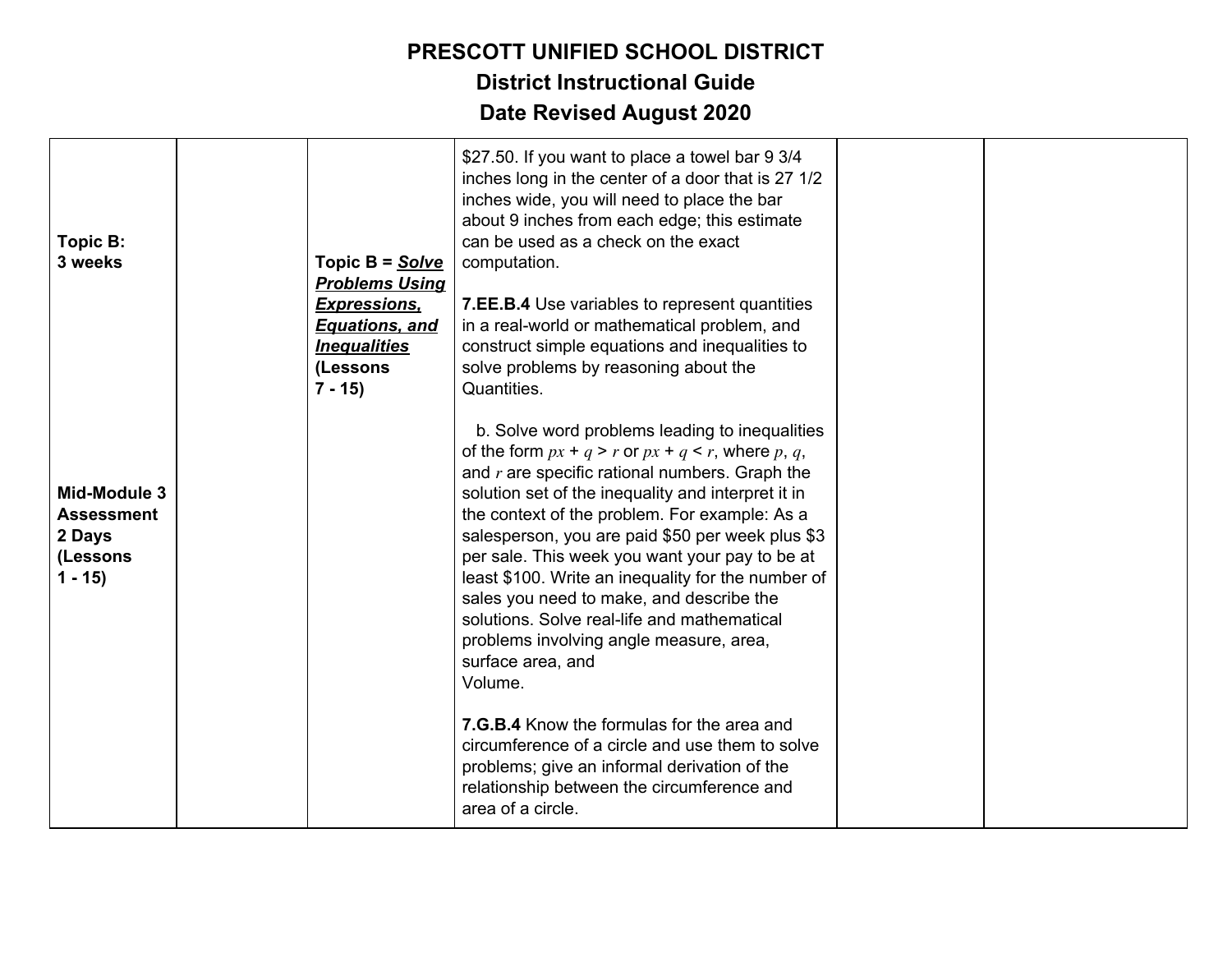| Topic B:<br>3 weeks                                                 | Topic B = Solve<br><b>Problems Using</b><br><u>Expressions,</u><br><b>Equations, and</b><br><b>Inequalities</b><br>(Lessons<br>$7 - 15$ | \$27.50. If you want to place a towel bar 9 3/4<br>inches long in the center of a door that is 27 1/2<br>inches wide, you will need to place the bar<br>about 9 inches from each edge; this estimate<br>can be used as a check on the exact<br>computation.<br>7.EE.B.4 Use variables to represent quantities<br>in a real-world or mathematical problem, and<br>construct simple equations and inequalities to<br>solve problems by reasoning about the<br>Quantities.                                                                                                                               |  |
|---------------------------------------------------------------------|-----------------------------------------------------------------------------------------------------------------------------------------|-------------------------------------------------------------------------------------------------------------------------------------------------------------------------------------------------------------------------------------------------------------------------------------------------------------------------------------------------------------------------------------------------------------------------------------------------------------------------------------------------------------------------------------------------------------------------------------------------------|--|
| Mid-Module 3<br><b>Assessment</b><br>2 Days<br>(Lessons<br>$1 - 15$ |                                                                                                                                         | b. Solve word problems leading to inequalities<br>of the form $px + q > r$ or $px + q < r$ , where p, q,<br>and $r$ are specific rational numbers. Graph the<br>solution set of the inequality and interpret it in<br>the context of the problem. For example: As a<br>salesperson, you are paid \$50 per week plus \$3<br>per sale. This week you want your pay to be at<br>least \$100. Write an inequality for the number of<br>sales you need to make, and describe the<br>solutions. Solve real-life and mathematical<br>problems involving angle measure, area,<br>surface area, and<br>Volume. |  |
|                                                                     |                                                                                                                                         | 7.G.B.4 Know the formulas for the area and<br>circumference of a circle and use them to solve<br>problems; give an informal derivation of the<br>relationship between the circumference and<br>area of a circle.                                                                                                                                                                                                                                                                                                                                                                                      |  |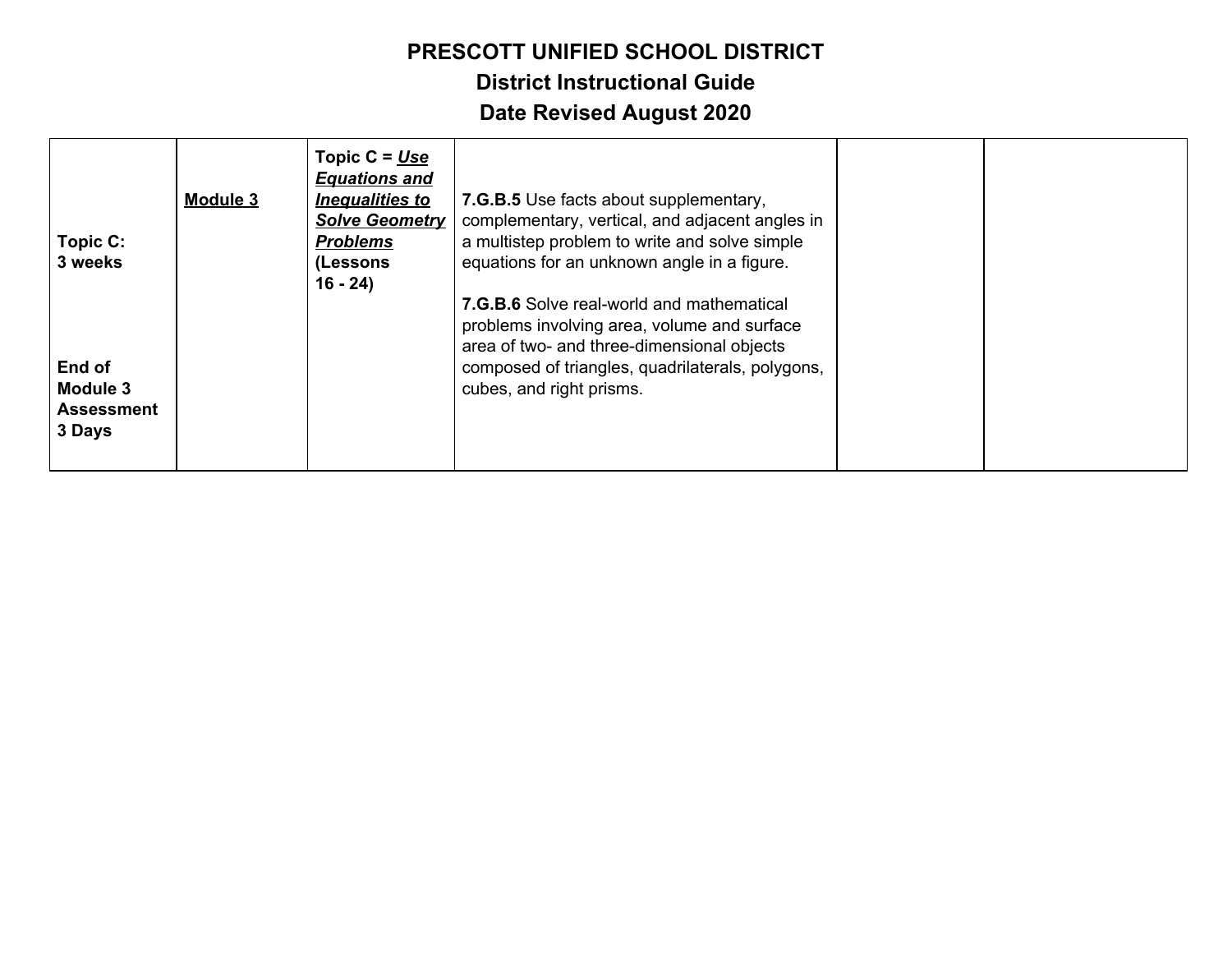| Topic C:<br>3 weeks                               | Module 3 | Topic $C = Use$<br><b>Equations and</b><br><b>Inequalities to</b><br><b>Solve Geometry</b><br><b>Problems</b><br>(Lessons<br>$16 - 24$ | 7.G.B.5 Use facts about supplementary,<br>complementary, vertical, and adjacent angles in<br>a multistep problem to write and solve simple<br>equations for an unknown angle in a figure.<br><b>7.G.B.6</b> Solve real-world and mathematical<br>problems involving area, volume and surface<br>area of two- and three-dimensional objects |  |
|---------------------------------------------------|----------|----------------------------------------------------------------------------------------------------------------------------------------|--------------------------------------------------------------------------------------------------------------------------------------------------------------------------------------------------------------------------------------------------------------------------------------------------------------------------------------------|--|
| End of<br>Module 3<br><b>Assessment</b><br>3 Days |          |                                                                                                                                        | composed of triangles, quadrilaterals, polygons,<br>cubes, and right prisms.                                                                                                                                                                                                                                                               |  |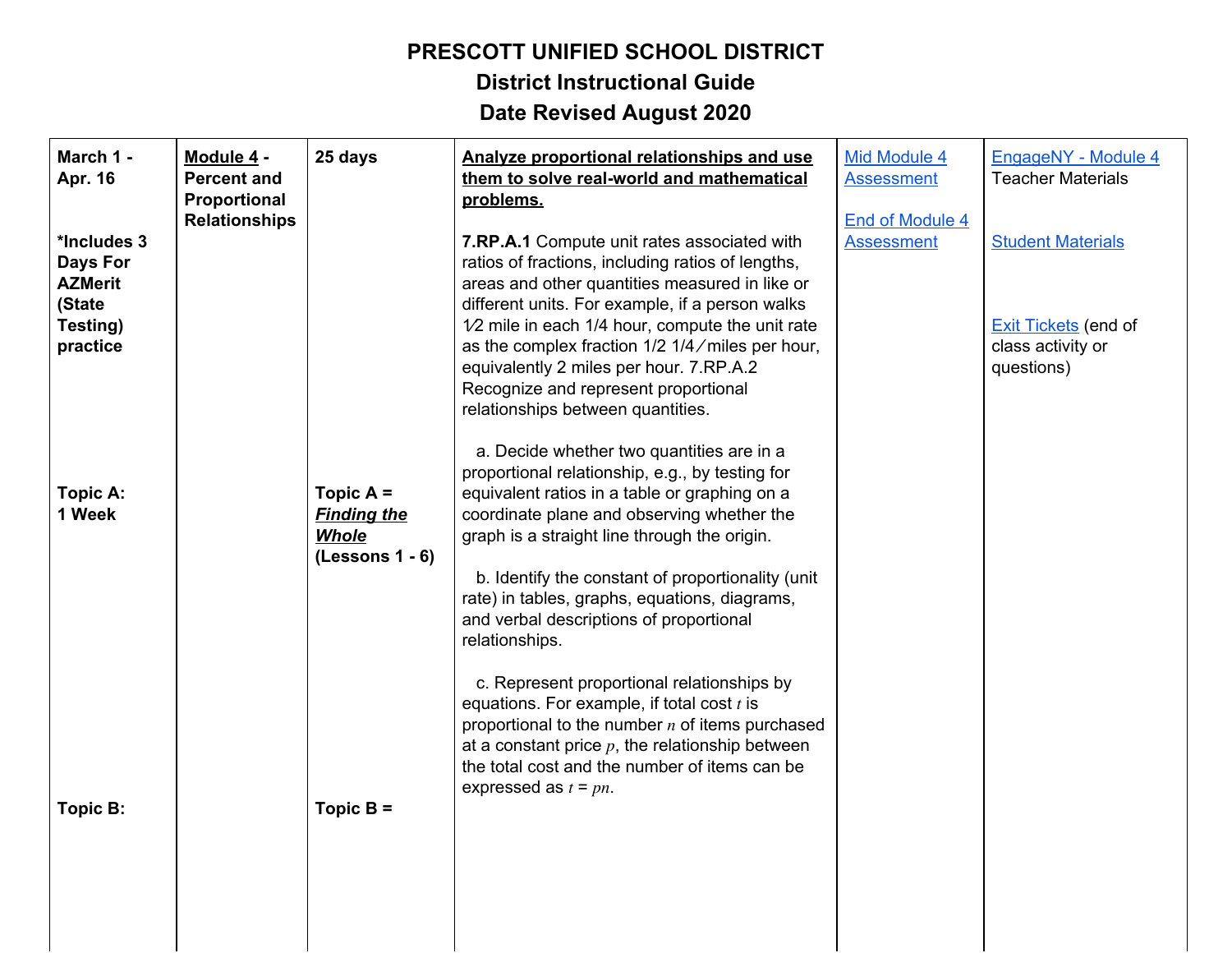# **District Instructional Guide**

| March 1 -<br>Apr. 16                                       | Module 4 -<br><b>Percent and</b><br>Proportional | 25 days                                                                | Analyze proportional relationships and use<br>them to solve real-world and mathematical<br>problems.                                                                                                                                                                                                                                                                                                           | Mid Module 4<br><b>Assessment</b>           | EngageNY - Module 4<br><b>Teacher Materials</b>                |
|------------------------------------------------------------|--------------------------------------------------|------------------------------------------------------------------------|----------------------------------------------------------------------------------------------------------------------------------------------------------------------------------------------------------------------------------------------------------------------------------------------------------------------------------------------------------------------------------------------------------------|---------------------------------------------|----------------------------------------------------------------|
| *Includes 3<br><b>Days For</b><br><b>AZMerit</b><br>(State | <b>Relationships</b>                             |                                                                        | <b>7.RP.A.1</b> Compute unit rates associated with<br>ratios of fractions, including ratios of lengths,<br>areas and other quantities measured in like or<br>different units. For example, if a person walks                                                                                                                                                                                                   | <b>End of Module 4</b><br><b>Assessment</b> | <b>Student Materials</b>                                       |
| Testing)<br>practice                                       |                                                  |                                                                        | $1/2$ mile in each 1/4 hour, compute the unit rate<br>as the complex fraction 1/2 1/4/miles per hour,<br>equivalently 2 miles per hour. 7.RP.A.2<br>Recognize and represent proportional<br>relationships between quantities.                                                                                                                                                                                  |                                             | <b>Exit Tickets</b> (end of<br>class activity or<br>questions) |
| Topic A:<br>1 Week                                         |                                                  | Topic $A =$<br><b>Finding the</b><br><b>Whole</b><br>$(Lessons 1 - 6)$ | a. Decide whether two quantities are in a<br>proportional relationship, e.g., by testing for<br>equivalent ratios in a table or graphing on a<br>coordinate plane and observing whether the<br>graph is a straight line through the origin.<br>b. Identify the constant of proportionality (unit<br>rate) in tables, graphs, equations, diagrams,<br>and verbal descriptions of proportional<br>relationships. |                                             |                                                                |
| Topic B:                                                   |                                                  | Topic $B =$                                                            | c. Represent proportional relationships by<br>equations. For example, if total cost $t$ is<br>proportional to the number $n$ of items purchased<br>at a constant price $p$ , the relationship between<br>the total cost and the number of items can be<br>expressed as $t = pn$ .                                                                                                                              |                                             |                                                                |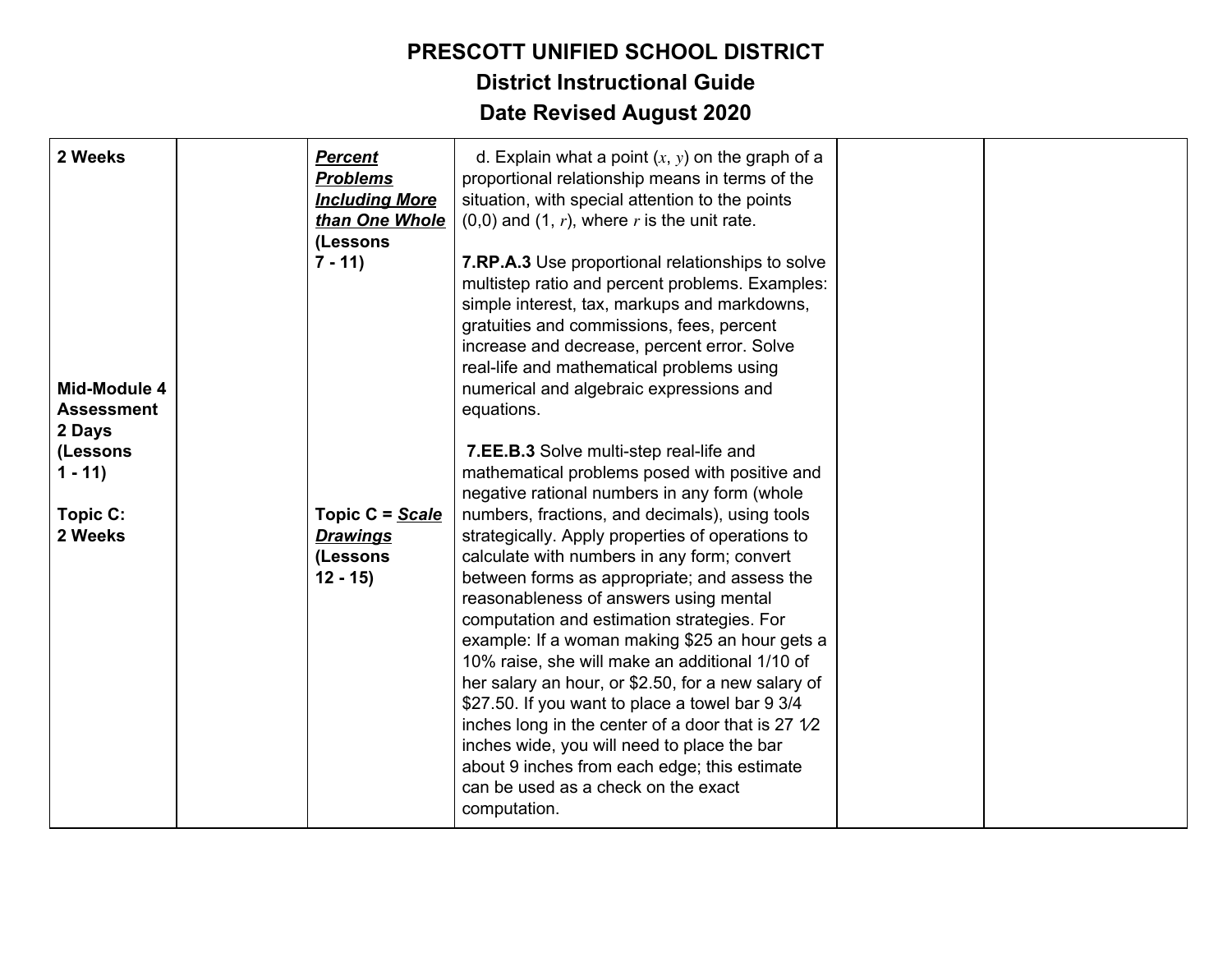| 2 Weeks                                     | <b>Percent</b><br><b>Problems</b><br><b>Including More</b><br>than One Whole<br>(Lessons | d. Explain what a point $(x, y)$ on the graph of a<br>proportional relationship means in terms of the<br>situation, with special attention to the points<br>$(0,0)$ and $(1, r)$ , where r is the unit rate.                                                                                                                                          |  |
|---------------------------------------------|------------------------------------------------------------------------------------------|-------------------------------------------------------------------------------------------------------------------------------------------------------------------------------------------------------------------------------------------------------------------------------------------------------------------------------------------------------|--|
| Mid-Module 4<br><b>Assessment</b><br>2 Days | $7 - 11$                                                                                 | 7.RP.A.3 Use proportional relationships to solve<br>multistep ratio and percent problems. Examples:<br>simple interest, tax, markups and markdowns,<br>gratuities and commissions, fees, percent<br>increase and decrease, percent error. Solve<br>real-life and mathematical problems using<br>numerical and algebraic expressions and<br>equations. |  |
| (Lessons                                    |                                                                                          | 7.EE.B.3 Solve multi-step real-life and                                                                                                                                                                                                                                                                                                               |  |
| $1 - 11$                                    |                                                                                          | mathematical problems posed with positive and                                                                                                                                                                                                                                                                                                         |  |
|                                             |                                                                                          | negative rational numbers in any form (whole                                                                                                                                                                                                                                                                                                          |  |
| Topic C:                                    | Topic C = Scale                                                                          | numbers, fractions, and decimals), using tools                                                                                                                                                                                                                                                                                                        |  |
| 2 Weeks                                     | <b>Drawings</b>                                                                          | strategically. Apply properties of operations to                                                                                                                                                                                                                                                                                                      |  |
|                                             | (Lessons                                                                                 | calculate with numbers in any form; convert                                                                                                                                                                                                                                                                                                           |  |
|                                             | $12 - 15$                                                                                | between forms as appropriate; and assess the                                                                                                                                                                                                                                                                                                          |  |
|                                             |                                                                                          | reasonableness of answers using mental                                                                                                                                                                                                                                                                                                                |  |
|                                             |                                                                                          | computation and estimation strategies. For                                                                                                                                                                                                                                                                                                            |  |
|                                             |                                                                                          | example: If a woman making \$25 an hour gets a                                                                                                                                                                                                                                                                                                        |  |
|                                             |                                                                                          | 10% raise, she will make an additional 1/10 of                                                                                                                                                                                                                                                                                                        |  |
|                                             |                                                                                          | her salary an hour, or \$2.50, for a new salary of<br>\$27.50. If you want to place a towel bar 9 3/4                                                                                                                                                                                                                                                 |  |
|                                             |                                                                                          | inches long in the center of a door that is 27 $1/2$                                                                                                                                                                                                                                                                                                  |  |
|                                             |                                                                                          | inches wide, you will need to place the bar                                                                                                                                                                                                                                                                                                           |  |
|                                             |                                                                                          | about 9 inches from each edge; this estimate                                                                                                                                                                                                                                                                                                          |  |
|                                             |                                                                                          | can be used as a check on the exact                                                                                                                                                                                                                                                                                                                   |  |
|                                             |                                                                                          | computation.                                                                                                                                                                                                                                                                                                                                          |  |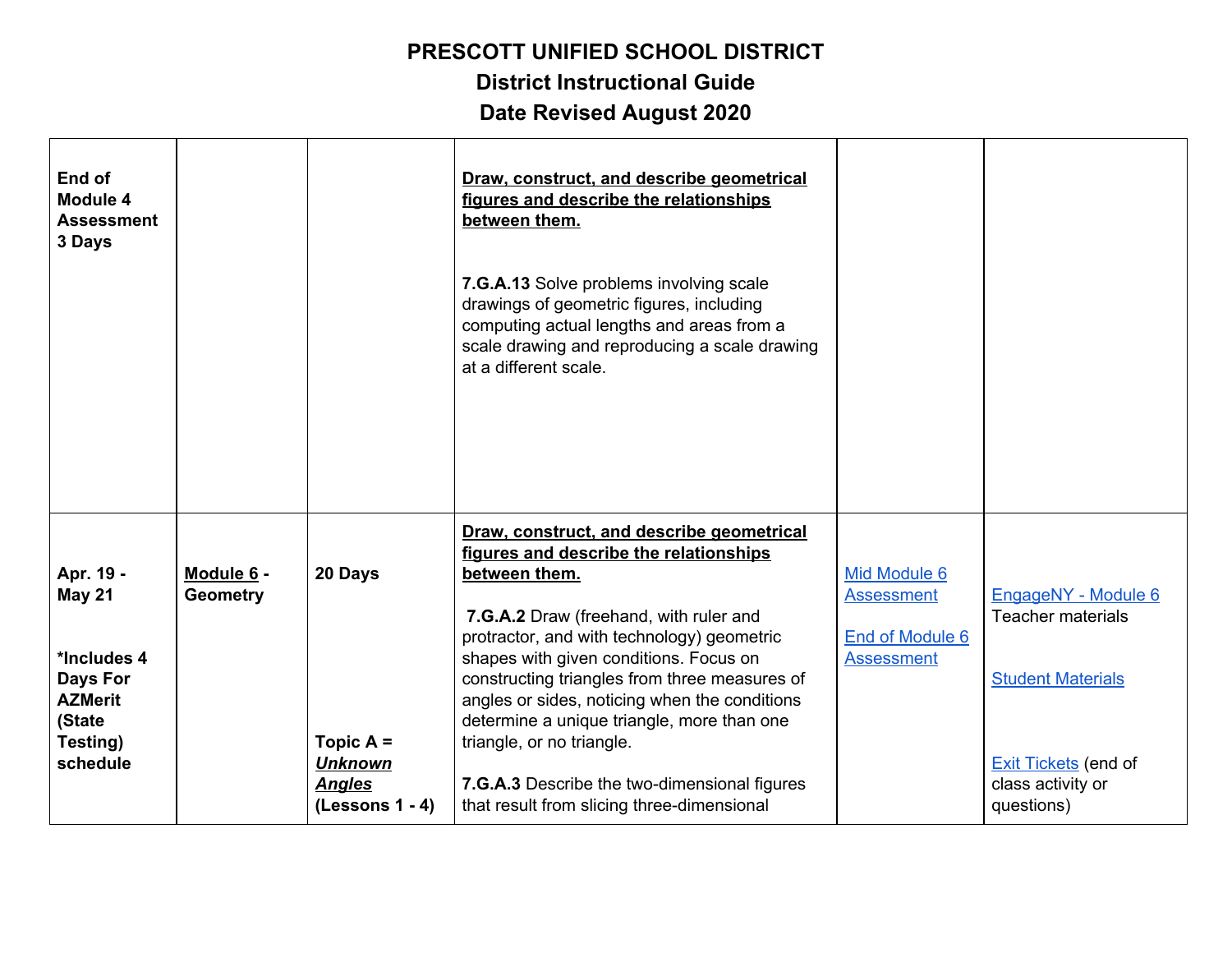**District Instructional Guide**

| End of<br><b>Module 4</b><br><b>Assessment</b><br>3 Days                                                  |                               |                                                                                | Draw, construct, and describe geometrical<br>figures and describe the relationships<br>between them.<br>7.G.A.13 Solve problems involving scale<br>drawings of geometric figures, including<br>computing actual lengths and areas from a<br>scale drawing and reproducing a scale drawing<br>at a different scale.                                                                                                                                                                                                |                                                                           |                                                                                                                                               |
|-----------------------------------------------------------------------------------------------------------|-------------------------------|--------------------------------------------------------------------------------|-------------------------------------------------------------------------------------------------------------------------------------------------------------------------------------------------------------------------------------------------------------------------------------------------------------------------------------------------------------------------------------------------------------------------------------------------------------------------------------------------------------------|---------------------------------------------------------------------------|-----------------------------------------------------------------------------------------------------------------------------------------------|
| Apr. 19 -<br><b>May 21</b><br>*Includes 4<br>Days For<br><b>AZMerit</b><br>(State<br>Testing)<br>schedule | Module 6 -<br><b>Geometry</b> | 20 Days<br>Topic $A =$<br><b>Unknown</b><br><b>Angles</b><br>$(Lessons 1 - 4)$ | Draw, construct, and describe geometrical<br>figures and describe the relationships<br>between them.<br>7.G.A.2 Draw (freehand, with ruler and<br>protractor, and with technology) geometric<br>shapes with given conditions. Focus on<br>constructing triangles from three measures of<br>angles or sides, noticing when the conditions<br>determine a unique triangle, more than one<br>triangle, or no triangle.<br>7.G.A.3 Describe the two-dimensional figures<br>that result from slicing three-dimensional | Mid Module 6<br><b>Assessment</b><br>End of Module 6<br><b>Assessment</b> | EngageNY - Module 6<br><b>Teacher materials</b><br><b>Student Materials</b><br><b>Exit Tickets</b> (end of<br>class activity or<br>questions) |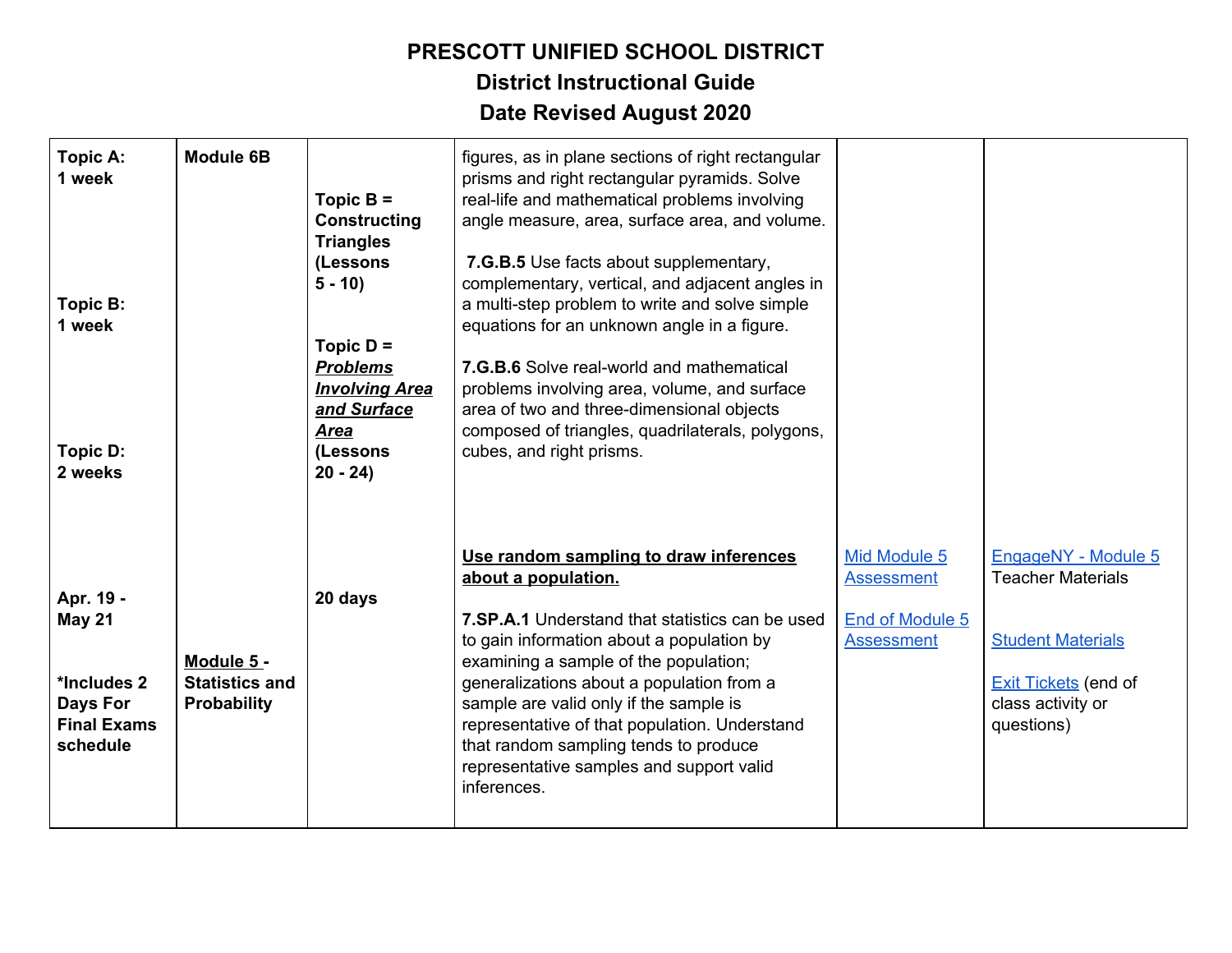| <b>Topic A:</b><br>1 week<br>Topic B:<br>1 week<br>Topic D:<br>2 weeks                  | <b>Module 6B</b>                                          | Topic $B =$<br><b>Constructing</b><br><b>Triangles</b><br>(Lessons<br>$5 - 10$<br>Topic $D =$<br><b>Problems</b><br><b>Involving Area</b><br>and Surface<br><b>Area</b><br>(Lessons<br>$20 - 24$ | figures, as in plane sections of right rectangular<br>prisms and right rectangular pyramids. Solve<br>real-life and mathematical problems involving<br>angle measure, area, surface area, and volume.<br>7.G.B.5 Use facts about supplementary,<br>complementary, vertical, and adjacent angles in<br>a multi-step problem to write and solve simple<br>equations for an unknown angle in a figure.<br><b>7.G.B.6</b> Solve real-world and mathematical<br>problems involving area, volume, and surface<br>area of two and three-dimensional objects<br>composed of triangles, quadrilaterals, polygons,<br>cubes, and right prisms. |                                                                           |                                                                                                                                               |
|-----------------------------------------------------------------------------------------|-----------------------------------------------------------|--------------------------------------------------------------------------------------------------------------------------------------------------------------------------------------------------|--------------------------------------------------------------------------------------------------------------------------------------------------------------------------------------------------------------------------------------------------------------------------------------------------------------------------------------------------------------------------------------------------------------------------------------------------------------------------------------------------------------------------------------------------------------------------------------------------------------------------------------|---------------------------------------------------------------------------|-----------------------------------------------------------------------------------------------------------------------------------------------|
| Apr. 19 -<br><b>May 21</b><br>*Includes 2<br>Days For<br><b>Final Exams</b><br>schedule | Module 5 -<br><b>Statistics and</b><br><b>Probability</b> | 20 days                                                                                                                                                                                          | Use random sampling to draw inferences<br>about a population.<br>7.SP.A.1 Understand that statistics can be used<br>to gain information about a population by<br>examining a sample of the population;<br>generalizations about a population from a<br>sample are valid only if the sample is<br>representative of that population. Understand<br>that random sampling tends to produce<br>representative samples and support valid<br>inferences.                                                                                                                                                                                   | Mid Module 5<br>Assessment<br><b>End of Module 5</b><br><b>Assessment</b> | EngageNY - Module 5<br><b>Teacher Materials</b><br><b>Student Materials</b><br><b>Exit Tickets</b> (end of<br>class activity or<br>questions) |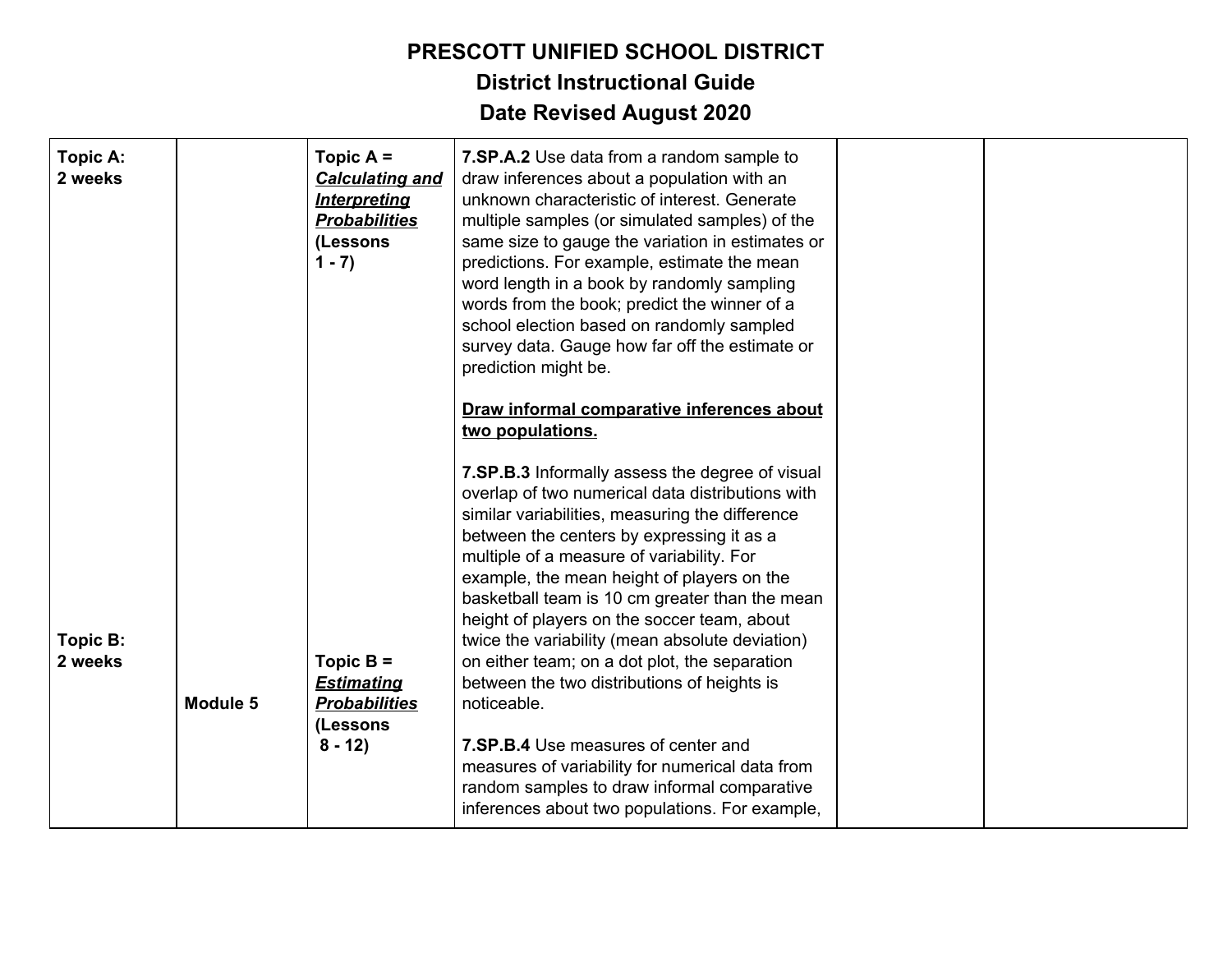| <b>Topic A:</b><br>2 weeks |          | Topic $A =$<br><b>Calculating and</b><br><b>Interpreting</b><br><b>Probabilities</b><br>(Lessons<br>$1 - 7$ ) | 7.SP.A.2 Use data from a random sample to<br>draw inferences about a population with an<br>unknown characteristic of interest. Generate<br>multiple samples (or simulated samples) of the<br>same size to gauge the variation in estimates or<br>predictions. For example, estimate the mean<br>word length in a book by randomly sampling<br>words from the book; predict the winner of a<br>school election based on randomly sampled<br>survey data. Gauge how far off the estimate or<br>prediction might be.<br>Draw informal comparative inferences about<br>two populations.                                                                                                                                                                          |  |
|----------------------------|----------|---------------------------------------------------------------------------------------------------------------|--------------------------------------------------------------------------------------------------------------------------------------------------------------------------------------------------------------------------------------------------------------------------------------------------------------------------------------------------------------------------------------------------------------------------------------------------------------------------------------------------------------------------------------------------------------------------------------------------------------------------------------------------------------------------------------------------------------------------------------------------------------|--|
| Topic B:<br>2 weeks        | Module 5 | Topic $B =$<br><b>Estimating</b><br><b>Probabilities</b><br>(Lessons<br>$8 - 12$                              | 7.SP.B.3 Informally assess the degree of visual<br>overlap of two numerical data distributions with<br>similar variabilities, measuring the difference<br>between the centers by expressing it as a<br>multiple of a measure of variability. For<br>example, the mean height of players on the<br>basketball team is 10 cm greater than the mean<br>height of players on the soccer team, about<br>twice the variability (mean absolute deviation)<br>on either team; on a dot plot, the separation<br>between the two distributions of heights is<br>noticeable.<br>7.SP.B.4 Use measures of center and<br>measures of variability for numerical data from<br>random samples to draw informal comparative<br>inferences about two populations. For example, |  |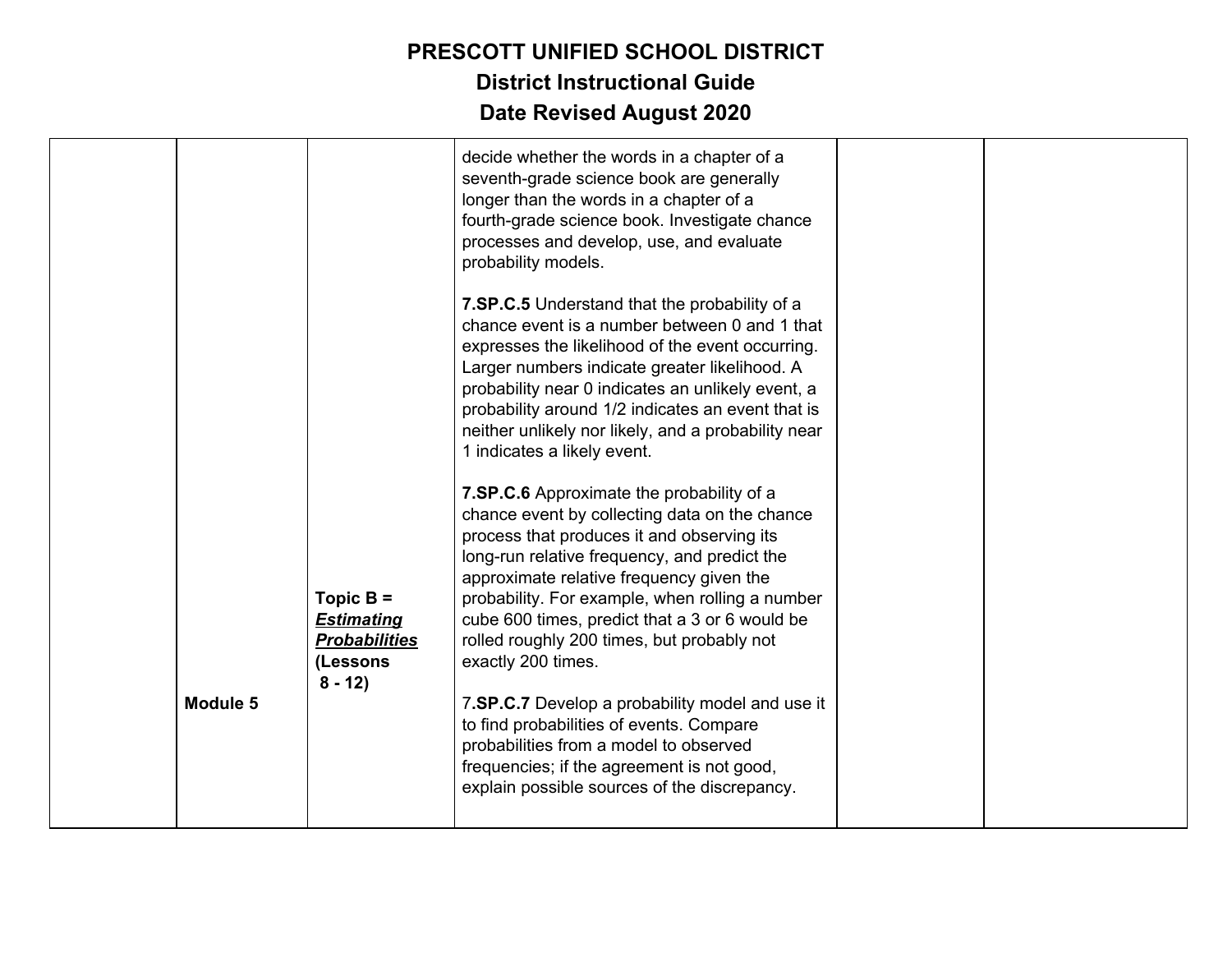|          |                                                                                  | decide whether the words in a chapter of a<br>seventh-grade science book are generally<br>longer than the words in a chapter of a<br>fourth-grade science book. Investigate chance<br>processes and develop, use, and evaluate<br>probability models.                                                                                                                                                         |  |
|----------|----------------------------------------------------------------------------------|---------------------------------------------------------------------------------------------------------------------------------------------------------------------------------------------------------------------------------------------------------------------------------------------------------------------------------------------------------------------------------------------------------------|--|
|          |                                                                                  | 7.SP.C.5 Understand that the probability of a<br>chance event is a number between 0 and 1 that<br>expresses the likelihood of the event occurring.<br>Larger numbers indicate greater likelihood. A<br>probability near 0 indicates an unlikely event, a<br>probability around 1/2 indicates an event that is<br>neither unlikely nor likely, and a probability near<br>1 indicates a likely event.           |  |
|          | Topic $B =$<br><b>Estimating</b><br><b>Probabilities</b><br>(Lessons<br>$8 - 12$ | 7.SP.C.6 Approximate the probability of a<br>chance event by collecting data on the chance<br>process that produces it and observing its<br>long-run relative frequency, and predict the<br>approximate relative frequency given the<br>probability. For example, when rolling a number<br>cube 600 times, predict that a 3 or 6 would be<br>rolled roughly 200 times, but probably not<br>exactly 200 times. |  |
| Module 5 |                                                                                  | 7.SP.C.7 Develop a probability model and use it<br>to find probabilities of events. Compare<br>probabilities from a model to observed<br>frequencies; if the agreement is not good,<br>explain possible sources of the discrepancy.                                                                                                                                                                           |  |